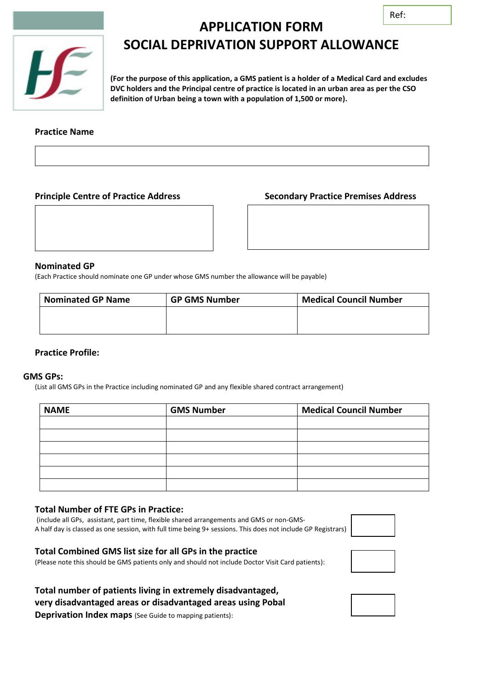

# **APPLICATION FORM SOCIAL DEPRIVATION SUPPORT ALLOWANCE**

**(For the purpose of this application, a GMS patient is a holder of a Medical Card and excludes DVC holders and the Principal centre of practice is located in an urban area as per the CSO definition of Urban being a town with a population of 1,500 or more).**

## **Practice Name**

# **Principle Centre of Practice Address Secondary Practice Premises Address**

### **Nominated GP**

(Each Practice should nominate one GP under whose GMS number the allowance will be payable)

| <b>Nominated GP Name</b> | <b>GP GMS Number</b> | <b>Medical Council Number</b> |
|--------------------------|----------------------|-------------------------------|
|                          |                      |                               |
|                          |                      |                               |

### **Practice Profile:**

#### **GMS GPs:**

(List all GMS GPs in the Practice including nominated GP and any flexible shared contract arrangement)

| <b>NAME</b> | <b>GMS Number</b> | <b>Medical Council Number</b> |
|-------------|-------------------|-------------------------------|
|             |                   |                               |
|             |                   |                               |
|             |                   |                               |
|             |                   |                               |
|             |                   |                               |
|             |                   |                               |

#### **Total Number of FTE GPs in Practice:**

(include all GPs, assistant, part time, flexible shared arrangements and GMS or non-GMS-A half day is classed as one session, with full time being 9+ sessions. This does not include GP Registrars)

(Please note this should be GMS patients only and should not include Doctor Visit Card patients):







**Total number of patients living in extremely disadvantaged, very disadvantaged areas or disadvantaged areas using Pobal Deprivation Index maps** (See Guide to mapping patients):

**Total Combined GMS list size for all GPs in the practice**